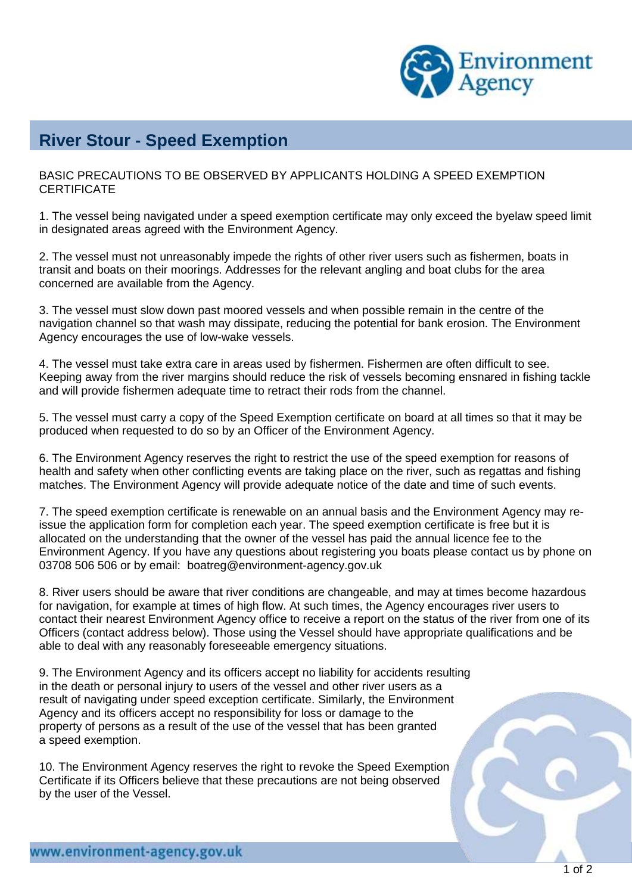

## **River Stour - Speed Exemption**

BASIC PRECAUTIONS TO BE OBSERVED BY APPLICANTS HOLDING A SPEED EXEMPTION **CERTIFICATE** 

1. The vessel being navigated under a speed exemption certificate may only exceed the byelaw speed limit in designated areas agreed with the Environment Agency.

2. The vessel must not unreasonably impede the rights of other river users such as fishermen, boats in transit and boats on their moorings. Addresses for the relevant angling and boat clubs for the area concerned are available from the Agency.

3. The vessel must slow down past moored vessels and when possible remain in the centre of the navigation channel so that wash may dissipate, reducing the potential for bank erosion. The Environment Agency encourages the use of low-wake vessels.

4. The vessel must take extra care in areas used by fishermen. Fishermen are often difficult to see. Keeping away from the river margins should reduce the risk of vessels becoming ensnared in fishing tackle and will provide fishermen adequate time to retract their rods from the channel.

5. The vessel must carry a copy of the Speed Exemption certificate on board at all times so that it may be produced when requested to do so by an Officer of the Environment Agency.

6. The Environment Agency reserves the right to restrict the use of the speed exemption for reasons of health and safety when other conflicting events are taking place on the river, such as regattas and fishing matches. The Environment Agency will provide adequate notice of the date and time of such events.

7. The speed exemption certificate is renewable on an annual basis and the Environment Agency may reissue the application form for completion each year. The speed exemption certificate is free but it is allocated on the understanding that the owner of the vessel has paid the annual licence fee to the Environment Agency. If you have any questions about registering you boats please contact us by phone on 03708 506 506 or by email: [boatreg@environment-agency.gov.uk](mailto:boatreg@environment-agency.gov.uk)

8. River users should be aware that river conditions are changeable, and may at times become hazardous for navigation, for example at times of high flow. At such times, the Agency encourages river users to contact their nearest Environment Agency office to receive a report on the status of the river from one of its Officers (contact address below). Those using the Vessel should have appropriate qualifications and be able to deal with any reasonably foreseeable emergency situations.

9. The Environment Agency and its officers accept no liability for accidents resulting in the death or personal injury to users of the vessel and other river users as a result of navigating under speed exception certificate. Similarly, the Environment Agency and its officers accept no responsibility for loss or damage to the property of persons as a result of the use of the vessel that has been granted a speed exemption.

10. The Environment Agency reserves the right to revoke the Speed Exemption Certificate if its Officers believe that these precautions are not being observed by the user of the Vessel.